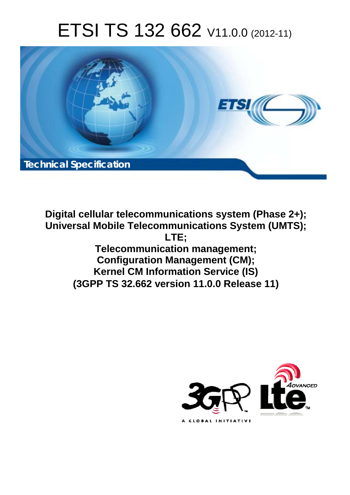# ETSI TS 132 662 V11.0.0 (2012-11)



**Digital cellular telecommunications system (Phase 2+); Universal Mobile Telecommunications System (UMTS); LTE; Telecommunication management; Configuration Management (CM); Kernel CM Information Service (IS) (3GPP TS 32.662 version 11.0.0 Release 11)** 

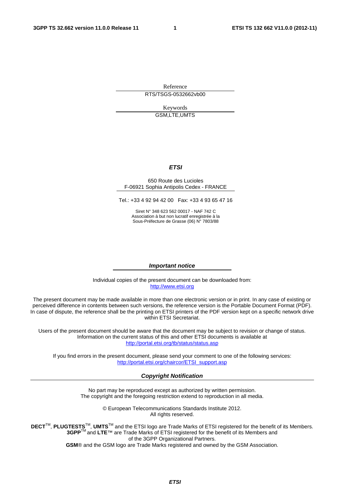Reference RTS/TSGS-0532662vb00

> Keywords GSM,LTE,UMTS

#### *ETSI*

#### 650 Route des Lucioles F-06921 Sophia Antipolis Cedex - FRANCE

Tel.: +33 4 92 94 42 00 Fax: +33 4 93 65 47 16

Siret N° 348 623 562 00017 - NAF 742 C Association à but non lucratif enregistrée à la Sous-Préfecture de Grasse (06) N° 7803/88

#### *Important notice*

Individual copies of the present document can be downloaded from: [http://www.etsi.org](http://www.etsi.org/)

The present document may be made available in more than one electronic version or in print. In any case of existing or perceived difference in contents between such versions, the reference version is the Portable Document Format (PDF). In case of dispute, the reference shall be the printing on ETSI printers of the PDF version kept on a specific network drive within ETSI Secretariat.

Users of the present document should be aware that the document may be subject to revision or change of status. Information on the current status of this and other ETSI documents is available at <http://portal.etsi.org/tb/status/status.asp>

If you find errors in the present document, please send your comment to one of the following services: [http://portal.etsi.org/chaircor/ETSI\\_support.asp](http://portal.etsi.org/chaircor/ETSI_support.asp)

#### *Copyright Notification*

No part may be reproduced except as authorized by written permission. The copyright and the foregoing restriction extend to reproduction in all media.

> © European Telecommunications Standards Institute 2012. All rights reserved.

**DECT**TM, **PLUGTESTS**TM, **UMTS**TM and the ETSI logo are Trade Marks of ETSI registered for the benefit of its Members. **3GPP**TM and **LTE**™ are Trade Marks of ETSI registered for the benefit of its Members and of the 3GPP Organizational Partners.

**GSM**® and the GSM logo are Trade Marks registered and owned by the GSM Association.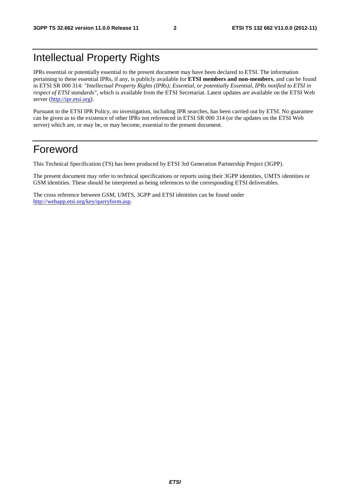# Intellectual Property Rights

IPRs essential or potentially essential to the present document may have been declared to ETSI. The information pertaining to these essential IPRs, if any, is publicly available for **ETSI members and non-members**, and can be found in ETSI SR 000 314: *"Intellectual Property Rights (IPRs); Essential, or potentially Essential, IPRs notified to ETSI in respect of ETSI standards"*, which is available from the ETSI Secretariat. Latest updates are available on the ETSI Web server ([http://ipr.etsi.org\)](http://webapp.etsi.org/IPR/home.asp).

Pursuant to the ETSI IPR Policy, no investigation, including IPR searches, has been carried out by ETSI. No guarantee can be given as to the existence of other IPRs not referenced in ETSI SR 000 314 (or the updates on the ETSI Web server) which are, or may be, or may become, essential to the present document.

# Foreword

This Technical Specification (TS) has been produced by ETSI 3rd Generation Partnership Project (3GPP).

The present document may refer to technical specifications or reports using their 3GPP identities, UMTS identities or GSM identities. These should be interpreted as being references to the corresponding ETSI deliverables.

The cross reference between GSM, UMTS, 3GPP and ETSI identities can be found under [http://webapp.etsi.org/key/queryform.asp.](http://webapp.etsi.org/key/queryform.asp)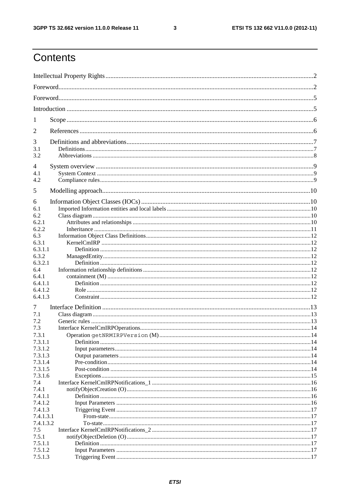$\mathbf{3}$ 

# Contents

| 1                  |  |
|--------------------|--|
| 2                  |  |
| 3                  |  |
| 3.1                |  |
| 3.2                |  |
| 4<br>4.1           |  |
| 4.2                |  |
| 5                  |  |
| 6                  |  |
| 6.1                |  |
| 6.2                |  |
| 6.2.1              |  |
| 6.2.2              |  |
| 6.3                |  |
| 6.3.1              |  |
| 6.3.1.1            |  |
| 6.3.2<br>6.3.2.1   |  |
| 6.4                |  |
| 6.4.1              |  |
| 6.4.1.1            |  |
| 6.4.1.2            |  |
| 6.4.1.3            |  |
| 7                  |  |
| 7.1                |  |
| 7.2                |  |
| 7.3                |  |
| 7.3.1              |  |
| 7.3.1.1            |  |
| 7.3.1.2            |  |
| 7.3.1.3            |  |
| 7.3.1.4<br>7.3.1.5 |  |
| 7.3.1.6            |  |
| 7.4                |  |
| 7.4.1              |  |
| 7.4.1.1            |  |
| 7.4.1.2            |  |
| 7.4.1.3            |  |
| 7.4.1.3.1          |  |
| 7.4.1.3.2          |  |
| 7.5                |  |
| 7.5.1              |  |
| 7.5.1.1            |  |
| 7.5.1.2            |  |
| 7.5.1.3            |  |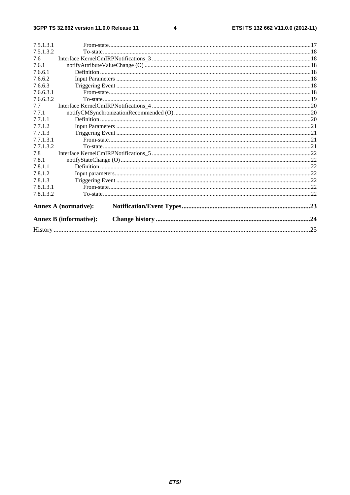#### $\overline{\mathbf{4}}$

| 7.5.1.3.1 |                               |    |
|-----------|-------------------------------|----|
| 7.5.1.3.2 |                               |    |
| 7.6       |                               |    |
| 7.6.1     |                               |    |
| 7.6.6.1   |                               |    |
| 7.6.6.2   |                               |    |
| 7.6.6.3   |                               |    |
| 7.6.6.3.1 |                               |    |
| 7.6.6.3.2 |                               |    |
| 7.7       |                               |    |
| 7.7.1     |                               |    |
| 7.7.1.1   |                               |    |
| 7.7.1.2   |                               |    |
| 7.7.1.3   |                               |    |
| 7.7.1.3.1 |                               |    |
| 7.7.1.3.2 |                               |    |
| 7.8       |                               |    |
| 7.8.1     |                               |    |
| 7.8.1.1   |                               |    |
| 7.8.1.2   |                               |    |
| 7.8.1.3   |                               |    |
| 7.8.1.3.1 |                               |    |
| 7.8.1.3.2 |                               |    |
|           | <b>Annex A (normative):</b>   |    |
|           | <b>Annex B</b> (informative): |    |
|           |                               | 25 |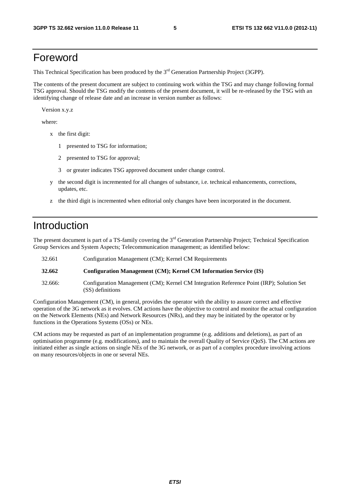# Foreword

This Technical Specification has been produced by the 3<sup>rd</sup> Generation Partnership Project (3GPP).

The contents of the present document are subject to continuing work within the TSG and may change following formal TSG approval. Should the TSG modify the contents of the present document, it will be re-released by the TSG with an identifying change of release date and an increase in version number as follows:

Version x.y.z

where:

- x the first digit:
	- 1 presented to TSG for information;
	- 2 presented to TSG for approval;
	- 3 or greater indicates TSG approved document under change control.
- y the second digit is incremented for all changes of substance, i.e. technical enhancements, corrections, updates, etc.
- z the third digit is incremented when editorial only changes have been incorporated in the document.

# Introduction

The present document is part of a TS-family covering the 3<sup>rd</sup> Generation Partnership Project; Technical Specification Group Services and System Aspects; Telecommunication management; as identified below:

| 32.661  | Configuration Management (CM); Kernel CM Requirements                                                        |
|---------|--------------------------------------------------------------------------------------------------------------|
| 32.662  | Configuration Management (CM); Kernel CM Information Service (IS)                                            |
| 32.666: | Configuration Management (CM); Kernel CM Integration Reference Point (IRP); Solution Set<br>(SS) definitions |

Configuration Management (CM), in general, provides the operator with the ability to assure correct and effective operation of the 3G network as it evolves. CM actions have the objective to control and monitor the actual configuration on the Network Elements (NEs) and Network Resources (NRs), and they may be initiated by the operator or by functions in the Operations Systems (OSs) or NEs.

CM actions may be requested as part of an implementation programme (e.g. additions and deletions), as part of an optimisation programme (e.g. modifications), and to maintain the overall Quality of Service (QoS). The CM actions are initiated either as single actions on single NEs of the 3G network, or as part of a complex procedure involving actions on many resources/objects in one or several NEs.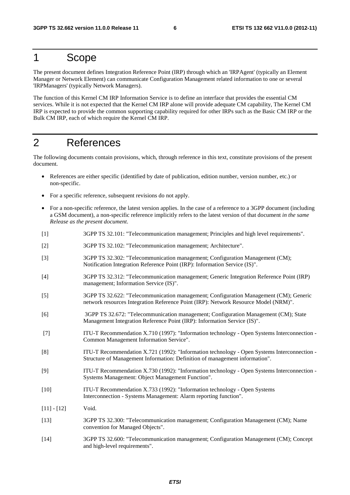# 1 Scope

The present document defines Integration Reference Point (IRP) through which an 'IRPAgent' (typically an Element Manager or Network Element) can communicate Configuration Management related information to one or several 'IRPManagers' (typically Network Managers).

The function of this Kernel CM IRP Information Service is to define an interface that provides the essential CM services. While it is not expected that the Kernel CM IRP alone will provide adequate CM capability, The Kernel CM IRP is expected to provide the common supporting capability required for other IRPs such as the Basic CM IRP or the Bulk CM IRP, each of which require the Kernel CM IRP.

# 2 References

The following documents contain provisions, which, through reference in this text, constitute provisions of the present document.

- References are either specific (identified by date of publication, edition number, version number, etc.) or non-specific.
- For a specific reference, subsequent revisions do not apply.
- For a non-specific reference, the latest version applies. In the case of a reference to a 3GPP document (including a GSM document), a non-specific reference implicitly refers to the latest version of that document *in the same Release as the present document*.
- [1] 3GPP TS 32.101: "Telecommunication management; Principles and high level requirements".
- [2] 3GPP TS 32.102: "Telecommunication management; Architecture".
- [3] 3GPP TS 32.302: "Telecommunication management; Configuration Management (CM); Notification Integration Reference Point (IRP): Information Service (IS)".
- [4] 3GPP TS 32.312: "Telecommunication management; Generic Integration Reference Point (IRP) management; Information Service (IS)".
- [5] 3GPP TS 32.622: "Telecommunication management; Configuration Management (CM); Generic network resources Integration Reference Point (IRP): Network Resource Model (NRM)".
- [6] 3GPP TS 32.672: "Telecommunication management; Configuration Management (CM); State Management Integration Reference Point (IRP): Information Service (IS)".
- [7] ITU-T Recommendation X.710 (1997): "Information technology Open Systems Interconnection Common Management Information Service".
- [8] ITU-T Recommendation X.721 (1992): "Information technology Open Systems Interconnection Structure of Management Information: Definition of management information".
- [9] ITU-T Recommendation X.730 (1992): "Information technology Open Systems Interconnection Systems Management: Object Management Function".
- [10] ITU-T Recommendation X.733 (1992): "Information technology Open Systems Interconnection - Systems Management: Alarm reporting function".
- $[11] [12]$  Void.
- [13] 3GPP TS 32.300: "Telecommunication management; Configuration Management (CM); Name convention for Managed Objects".
- [14] 3GPP TS 32.600: "Telecommunication management; Configuration Management (CM); Concept and high-level requirements".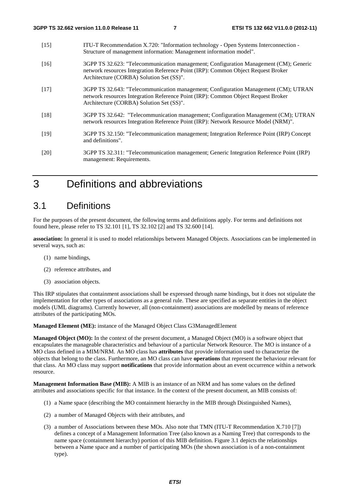| $[15]$ | ITU-T Recommendation X.720: "Information technology - Open Systems Interconnection -<br>Structure of management information: Management information model".                                                            |
|--------|------------------------------------------------------------------------------------------------------------------------------------------------------------------------------------------------------------------------|
| $[16]$ | 3GPP TS 32.623: "Telecommunication management; Configuration Management (CM); Generic<br>network resources Integration Reference Point (IRP): Common Object Request Broker<br>Architecture (CORBA) Solution Set (SS)". |
| $[17]$ | 3GPP TS 32.643: "Telecommunication management; Configuration Management (CM); UTRAN<br>network resources Integration Reference Point (IRP): Common Object Request Broker<br>Architecture (CORBA) Solution Set (SS)".   |
| $[18]$ | 3GPP TS 32.642: "Telecommunication management; Configuration Management (CM); UTRAN<br>network resources Integration Reference Point (IRP): Network Resource Model (NRM)".                                             |
| $[19]$ | 3GPP TS 32.150: "Telecommunication management; Integration Reference Point (IRP) Concept<br>and definitions".                                                                                                          |
| [20]   | 3GPP TS 32.311: "Telecommunication management; Generic Integration Reference Point (IRP)<br>management: Requirements.                                                                                                  |
|        |                                                                                                                                                                                                                        |

# 3 Definitions and abbreviations

### 3.1 Definitions

For the purposes of the present document, the following terms and definitions apply. For terms and definitions not found here, please refer to TS 32.101 [1], TS 32.102 [2] and TS 32.600 [14].

**association:** In general it is used to model relationships between Managed Objects. Associations can be implemented in several ways, such as:

- (1) name bindings,
- (2) reference attributes, and
- (3) association objects.

This IRP stipulates that containment associations shall be expressed through name bindings, but it does not stipulate the implementation for other types of associations as a general rule. These are specified as separate entities in the object models (UML diagrams). Currently however, all (non-containment) associations are modelled by means of reference attributes of the participating MOs.

**Managed Element (ME):** instance of the Managed Object Class G3ManagedElement

**Managed Object (MO):** In the context of the present document, a Managed Object (MO) is a software object that encapsulates the manageable characteristics and behaviour of a particular Network Resource. The MO is instance of a MO class defined in a MIM/NRM. An MO class has **attributes** that provide information used to characterize the objects that belong to the class. Furthermore, an MO class can have **operations** that represent the behaviour relevant for that class. An MO class may support **notifications** that provide information about an event occurrence within a network resource.

**Management Information Base (MIB):** A MIB is an instance of an NRM and has some values on the defined attributes and associations specific for that instance. In the context of the present document, an MIB consists of:

- (1) a Name space (describing the MO containment hierarchy in the MIB through Distinguished Names),
- (2) a number of Managed Objects with their attributes, and
- (3) a number of Associations between these MOs. Also note that TMN (ITU-T Recommendation X.710 [7]) defines a concept of a Management Information Tree (also known as a Naming Tree) that corresponds to the name space (containment hierarchy) portion of this MIB definition. Figure 3.1 depicts the relationships between a Name space and a number of participating MOs (the shown association is of a non-containment type).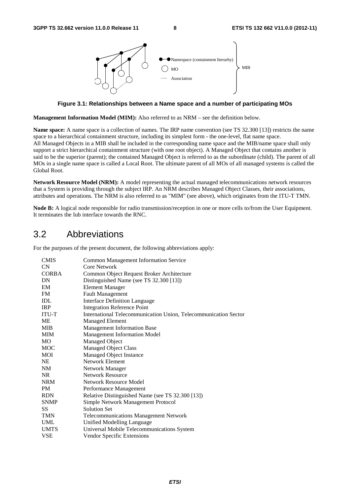

**Figure 3.1: Relationships between a Name space and a number of participating MOs** 

**Management Information Model (MIM):** Also referred to as NRM – see the definition below.

**Name space:** A name space is a collection of names. The IRP name convention (see TS 32.300 [13]) restricts the name space to a hierarchical containment structure, including its simplest form - the one-level, flat name space. All Managed Objects in a MIB shall be included in the corresponding name space and the MIB/name space shall only support a strict hierarchical containment structure (with one root object). A Managed Object that contains another is said to be the superior (parent); the contained Managed Object is referred to as the subordinate (child). The parent of all MOs in a single name space is called a Local Root. The ultimate parent of all MOs of all managed systems is called the Global Root.

**Network Resource Model (NRM):** A model representing the actual managed telecommunications network resources that a System is providing through the subject IRP. An NRM describes Managed Object Classes, their associations, attributes and operations. The NRM is also referred to as "MIM" (see above), which originates from the ITU-T TMN.

**Node B:** A logical node responsible for radio transmission/reception in one or more cells to/from the User Equipment. It terminates the Iub interface towards the RNC.

### 3.2 Abbreviations

For the purposes of the present document, the following abbreviations apply:

| <b>CMIS</b>  | <b>Common Management Information Service</b>                    |
|--------------|-----------------------------------------------------------------|
| CN           | Core Network                                                    |
| <b>CORBA</b> | Common Object Request Broker Architecture                       |
| DN           | Distinguished Name (see TS 32.300 [13])                         |
| EM           | <b>Element Manager</b>                                          |
| <b>FM</b>    | <b>Fault Management</b>                                         |
| IDL          | <b>Interface Definition Language</b>                            |
| <b>IRP</b>   | <b>Integration Reference Point</b>                              |
| ITU-T        | International Telecommunication Union, Telecommunication Sector |
| МE           | <b>Managed Element</b>                                          |
| <b>MIB</b>   | Management Information Base                                     |
| <b>MIM</b>   | Management Information Model                                    |
| <b>MO</b>    | Managed Object                                                  |
| <b>MOC</b>   | <b>Managed Object Class</b>                                     |
| MOI          | Managed Object Instance                                         |
| <b>NE</b>    | Network Element                                                 |
| NM           | Network Manager                                                 |
| NR.          | <b>Network Resource</b>                                         |
| <b>NRM</b>   | Network Resource Model                                          |
| <b>PM</b>    | Performance Management                                          |
| <b>RDN</b>   | Relative Distinguished Name (see TS 32.300 [13])                |
| <b>SNMP</b>  | <b>Simple Network Management Protocol</b>                       |
| SS           | <b>Solution Set</b>                                             |
| <b>TMN</b>   | <b>Telecommunications Management Network</b>                    |
| UML          | Unified Modelling Language                                      |
| <b>UMTS</b>  | Universal Mobile Telecommunications System                      |
| <b>VSE</b>   | Vendor Specific Extensions                                      |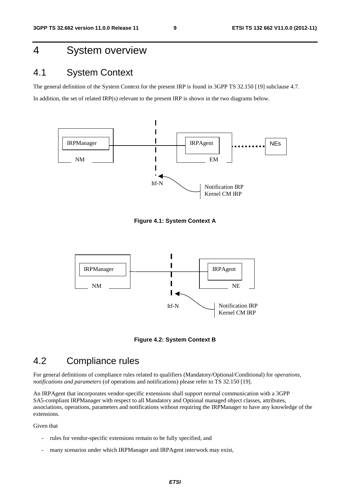# 4 System overview

### 4.1 System Context

The general definition of the System Context for the present IRP is found in 3GPP TS 32.150 [19] subclause 4.7. In addition, the set of related IRP(s) relevant to the present IRP is shown in the two diagrams below.



**Figure 4.1: System Context A** 



**Figure 4.2: System Context B** 

### 4.2 Compliance rules

For general definitions of compliance rules related to qualifiers (Mandatory/Optional/Conditional) for *operations*, *notifications and parameters* (of operations and notifications) please refer to TS 32.150 [19].

An IRPAgent that incorporates vendor-specific extensions shall support normal communication with a 3GPP SA5-compliant IRPManager with respect to all Mandatory and Optional managed object classes, attributes, associations, operations, parameters and notifications without requiring the IRPManager to have any knowledge of the extensions.

Given that

- rules for vendor-specific extensions remain to be fully specified, and
- many scenarios under which IRPManager and IRPAgent interwork may exist,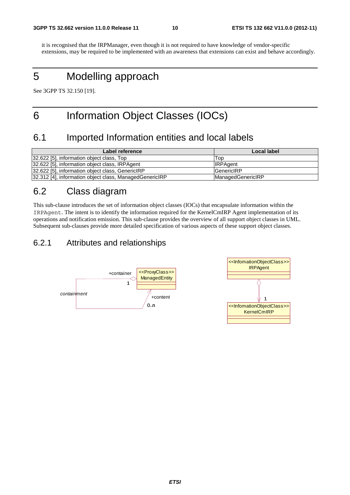it is recognised that the IRPManager, even though it is not required to have knowledge of vendor-specific extensions, may be required to be implemented with an awareness that extensions can exist and behave accordingly.

# 5 Modelling approach

See 3GPP TS 32.150 [19].

# 6 Information Object Classes (IOCs)

### 6.1 Imported Information entities and local labels

| Label reference                                         | Local label              |
|---------------------------------------------------------|--------------------------|
| 32.622 [5], information object class, Top               | Top                      |
| 32.622 [5], information object class, IRPAgent          | <b>IRPAgent</b>          |
| 32.622 [5], information object class, GenericIRP        | <b>GenericIRP</b>        |
| 32.312 [4], information object class, ManagedGenericIRP | <b>ManagedGenericIRP</b> |

# 6.2 Class diagram

This sub-clause introduces the set of information object classes (IOCs) that encapsulate information within the IRPAgent. The intent is to identify the information required for the KernelCmIRP Agent implementation of its operations and notification emission. This sub-clause provides the overview of all support object classes in UML. Subsequent sub-clauses provide more detailed specification of various aspects of these support object classes.

### 6.2.1 Attributes and relationships

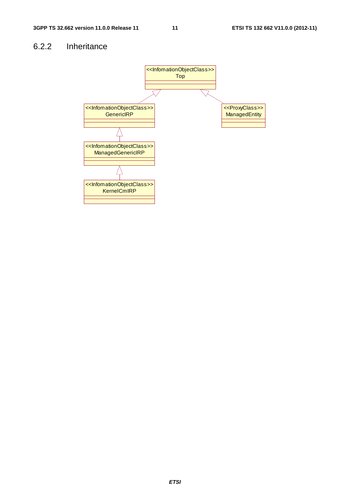### 6.2.2 Inheritance

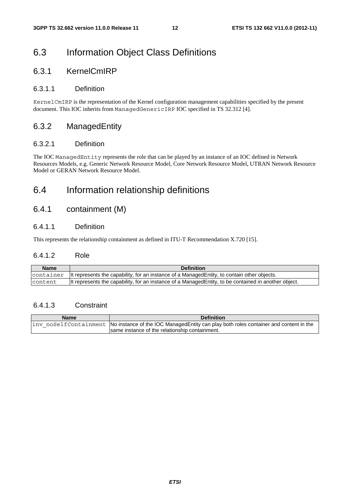# 6.3 Information Object Class Definitions

### 6.3.1 KernelCmIRP

### 6.3.1.1 Definition

KernelCmIRP is the representation of the Kernel configuration management capabilities specified by the present document. This IOC inherits from ManagedGenericIRP IOC specified in TS 32.312 [4].

### 6.3.2 ManagedEntity

#### 6.3.2.1 Definition

The IOC ManagedEntity represents the role that can be played by an instance of an IOC defined in Network Resources Models, e.g. Generic Network Resource Model, Core Network Resource Model, UTRAN Network Resource Model or GERAN Network Resource Model.

## 6.4 Information relationship definitions

### 6.4.1 containment (M)

### 6.4.1.1 Definition

This represents the relationship containment as defined in ITU-T Recommendation X.720 [15].

### 6.4.1.2 Role

| Name    | <b>Definition</b>                                                                                                        |
|---------|--------------------------------------------------------------------------------------------------------------------------|
|         | $\alpha$ container $\alpha$ lt represents the capability, for an instance of a Managed Entity, to contain other objects. |
| content | It represents the capability, for an instance of a Managed Entity, to be contained in another object.                    |

### 6.4.1.3 Constraint

| <b>Name</b> | <b>Definition</b>                                                                                                                       |
|-------------|-----------------------------------------------------------------------------------------------------------------------------------------|
|             | $\frac{1}{2}$ inv noSelfContainment $\frac{1}{2}$ No instance of the IOC ManagedEntity can play both roles container and content in the |
|             | Isame instance of the relationship containment.                                                                                         |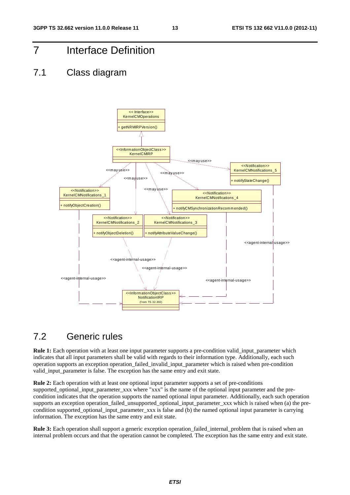# 7 Interface Definition

### 7.1 Class diagram



## 7.2 Generic rules

**Rule 1:** Each operation with at least one input parameter supports a pre-condition valid\_input\_parameter which indicates that all input parameters shall be valid with regards to their information type. Additionally, each such operation supports an exception operation\_failed\_invalid\_input\_parameter which is raised when pre-condition valid\_input\_parameter is false. The exception has the same entry and exit state.

**Rule 2:** Each operation with at least one optional input parameter supports a set of pre-conditions supported optional input parameter xxx where "xxx" is the name of the optional input parameter and the precondition indicates that the operation supports the named optional input parameter. Additionally, each such operation supports an exception operation\_failed\_unsupported\_optional\_input\_parameter\_xxx which is raised when (a) the precondition supported optional input parameter xxx is false and (b) the named optional input parameter is carrying information. The exception has the same entry and exit state.

**Rule 3:** Each operation shall support a generic exception operation failed internal problem that is raised when an internal problem occurs and that the operation cannot be completed. The exception has the same entry and exit state.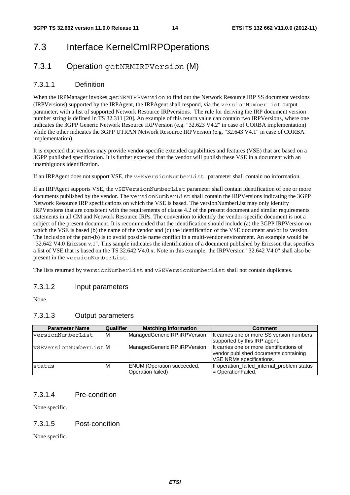# 7.3 Interface KernelCmIRPOperations

### 7.3.1 Operation getNRMIRPVersion (M)

### 7.3.1.1 Definition

When the IRPManager invokes getNRMIRPVersion to find out the Network Resource IRP SS document versions (IRPVersions) supported by the IRPAgent, the IRPAgent shall respond, via the versionNumberList output parameter, with a list of supported Network Resource IRPversions. The rule for deriving the IRP document version number string is defined in TS 32.311 [20]. An example of this return value can contain two IRPVersions, where one indicates the 3GPP Generic Network Resource IRPVersion (e.g. "32.623 V4.2" in case of CORBA implementation) while the other indicates the 3GPP UTRAN Network Resource IRPVersion (e.g. "32.643 V4.1" in case of CORBA implementation).

It is expected that vendors may provide vendor-specific extended capabilities and features (VSE) that are based on a 3GPP published specification. It is further expected that the vendor will publish these VSE in a document with an unambiguous identification.

If an IRPAgent does not support VSE, the vSEVersionNumberList parameter shall contain no information.

If an IRPAgent supports VSE, the vSEVersionNumberList parameter shall contain identification of one or more documents published by the vendor. The versionNumberList shall contain the IRPVersions indicating the 3GPP Network Resource IRP specifications on which the VSE is based. The versionNumberList may only identify IRPVersions that are consistent with the requirements of clause 4.2 of the present document and similar requirements statements in all CM and Network Resource IRPs. The convention to identify the vendor-specific document is not a subject of the present document. It is recommended that the identification should include (a) the 3GPP IRPVersion on which the VSE is based (b) the name of the vendor and (c) the identification of the VSE document and/or its version. The inclusion of the part-(b) is to avoid possible name conflict in a multi-vendor environment. An example would be "32.642 V4.0 Ericsson v.1". This sample indicates the identification of a document published by Ericsson that specifies a list of VSE that is based on the TS 32.642 V4.0.x. Note in this example, the IRPVersion "32.642 V4.0" shall also be present in the versionNumberList.

The lists returned by versionNumberList and vSEVersionNumberList shall not contain duplicates.

### 7.3.1.2 Input parameters

None.

### 7.3.1.3 Output parameters

| <b>Parameter Name</b>  | <b>Qualifier</b> | <b>Matching Information</b>                            | <b>Comment</b>                                                                                                        |
|------------------------|------------------|--------------------------------------------------------|-----------------------------------------------------------------------------------------------------------------------|
| versionNumberList      | ΙM               | ManagedGenericIRP.iRPVersion                           | It carries one or more SS version numbers<br>supported by this IRP agent.                                             |
| vSEVersionNumberList M |                  | ManagedGenericIRP.iRPVersion                           | It carries one or more identifications of<br>vendor published documents containing<br><b>VSE NRMs specifications.</b> |
| status                 | M                | <b>ENUM</b> (Operation succeeded,<br>Operation failed) | If operation_failed_internal_problem status<br>= OperationFailed.                                                     |

### 7.3.1.4 Pre-condition

None specific.

### 7.3.1.5 Post-condition

None specific.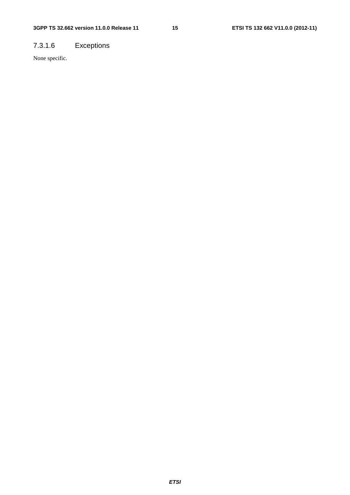# 7.3.1.6 Exceptions

None specific.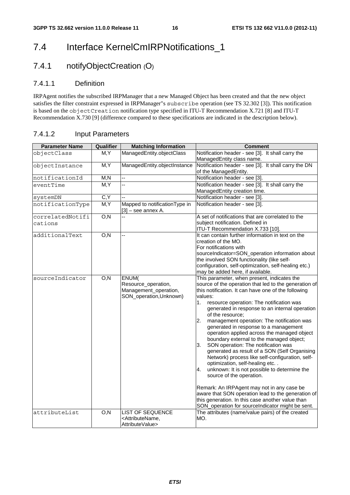# 7.4 Interface KernelCmIRPNotifications\_1

### 7.4.1 notifyObjectCreation (O)

### 7.4.1.1 Definition

IRPAgent notifies the subscribed IRPManager that a new Managed Object has been created and that the new object satisfies the filter constraint expressed in IRPManager"s subscribe operation (see TS 32.302 [3]). This notification is based on the objectCreation notification type specified in ITU-T Recommendation X.721 [8] and ITU-T Recommendation X.730 [9] (difference compared to these specifications are indicated in the description below).

### 7.4.1.2 Input Parameters

| <b>Parameter Name</b> | Qualifier        | <b>Matching Information</b>                                                      | <b>Comment</b>                                                                                                                                                                                                                                                                                                                                                                                                                                                                                                                                                                                                                                                                                                                                              |
|-----------------------|------------------|----------------------------------------------------------------------------------|-------------------------------------------------------------------------------------------------------------------------------------------------------------------------------------------------------------------------------------------------------------------------------------------------------------------------------------------------------------------------------------------------------------------------------------------------------------------------------------------------------------------------------------------------------------------------------------------------------------------------------------------------------------------------------------------------------------------------------------------------------------|
| objectClass           | M, Y             | ManagedEntity.objectClass                                                        | Notification header - see [3]. It shall carry the                                                                                                                                                                                                                                                                                                                                                                                                                                                                                                                                                                                                                                                                                                           |
|                       |                  |                                                                                  | ManagedEntity class name.                                                                                                                                                                                                                                                                                                                                                                                                                                                                                                                                                                                                                                                                                                                                   |
| objectInstance        | M, Y             | ManagedEntity.objectInstance                                                     | Notification header - see [3]. It shall carry the DN                                                                                                                                                                                                                                                                                                                                                                                                                                                                                                                                                                                                                                                                                                        |
|                       |                  |                                                                                  | of the ManagedEntity.                                                                                                                                                                                                                                                                                                                                                                                                                                                                                                                                                                                                                                                                                                                                       |
| notificationId        | M, N             | ц,                                                                               | Notification header - see [3].                                                                                                                                                                                                                                                                                                                                                                                                                                                                                                                                                                                                                                                                                                                              |
| eventTime             | M, Y             | Ξ.                                                                               | Notification header - see [3]. It shall carry the                                                                                                                                                                                                                                                                                                                                                                                                                                                                                                                                                                                                                                                                                                           |
|                       |                  |                                                                                  | ManagedEntity creation time.                                                                                                                                                                                                                                                                                                                                                                                                                                                                                                                                                                                                                                                                                                                                |
| systemDN              | C, Y             |                                                                                  | Notification header - see [3].                                                                                                                                                                                                                                                                                                                                                                                                                                                                                                                                                                                                                                                                                                                              |
| notificationType      | M, Y             | Mapped to notification Type in<br>$[3]$ – see annex A.                           | Notification header - see [3].                                                                                                                                                                                                                                                                                                                                                                                                                                                                                                                                                                                                                                                                                                                              |
| correlatedNotifi      | O, N             | u,                                                                               | A set of notifications that are correlated to the                                                                                                                                                                                                                                                                                                                                                                                                                                                                                                                                                                                                                                                                                                           |
| cations               |                  |                                                                                  | subject notification. Defined in                                                                                                                                                                                                                                                                                                                                                                                                                                                                                                                                                                                                                                                                                                                            |
|                       |                  |                                                                                  | ITU-T Recommendation X.733 [10].                                                                                                                                                                                                                                                                                                                                                                                                                                                                                                                                                                                                                                                                                                                            |
| additionalText        | O, N             | ц,                                                                               | It can contain further information in text on the                                                                                                                                                                                                                                                                                                                                                                                                                                                                                                                                                                                                                                                                                                           |
|                       |                  |                                                                                  | creation of the MO.                                                                                                                                                                                                                                                                                                                                                                                                                                                                                                                                                                                                                                                                                                                                         |
|                       |                  |                                                                                  | For notifications with                                                                                                                                                                                                                                                                                                                                                                                                                                                                                                                                                                                                                                                                                                                                      |
|                       |                  |                                                                                  | sourceIndicator=SON_operation information about                                                                                                                                                                                                                                                                                                                                                                                                                                                                                                                                                                                                                                                                                                             |
|                       |                  |                                                                                  | the involved SON functionality (like self-                                                                                                                                                                                                                                                                                                                                                                                                                                                                                                                                                                                                                                                                                                                  |
|                       |                  |                                                                                  | configuration, self-optimization, self-healing etc.)                                                                                                                                                                                                                                                                                                                                                                                                                                                                                                                                                                                                                                                                                                        |
|                       |                  |                                                                                  | may be added here, if available.                                                                                                                                                                                                                                                                                                                                                                                                                                                                                                                                                                                                                                                                                                                            |
| sourceIndicator       | O, N             | ENUM(<br>Resource_operation,<br>Management_operation,<br>SON_operation, Unknown) | This parameter, when present, indicates the<br>source of the operation that led to the generation of<br>this notification. It can have one of the following<br>values:<br>1.<br>resource operation: The notification was<br>generated in response to an internal operation<br>of the resource;<br>2.<br>management operation: The notification was<br>generated in response to a management<br>operation applied across the managed object<br>boundary external to the managed object;<br>SON operation: The notification was<br>3.<br>generated as result of a SON (Self Organising<br>Network) process like self-configuration, self-<br>optimization, self-healing etc<br>unknown: It is not possible to determine the<br>4.<br>source of the operation. |
|                       |                  |                                                                                  | Remark: An IRPAgent may not in any case be<br>aware that SON operation lead to the generation of<br>this generation. In this case another value than<br>SON_operation for sourceIndicator might be sent.                                                                                                                                                                                                                                                                                                                                                                                                                                                                                                                                                    |
| attributeList         | $\overline{O,N}$ | <b>LIST OF SEQUENCE</b>                                                          | The attributes (name/value pairs) of the created                                                                                                                                                                                                                                                                                                                                                                                                                                                                                                                                                                                                                                                                                                            |
|                       |                  | <attributename,<br>AttributeValue&gt;</attributename,<br>                        | MO.                                                                                                                                                                                                                                                                                                                                                                                                                                                                                                                                                                                                                                                                                                                                                         |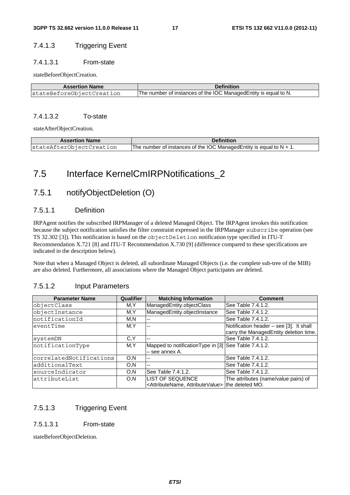### 7.4.1.3 Triggering Event

#### 7.4.1.3.1 From-state

stateBeforeObjectCreation.

| <b>Assertion Name</b>     | <b>Definition</b>                                                |
|---------------------------|------------------------------------------------------------------|
| stateBeforeObjectCreation | The number of instances of the IOC Managed Entity is equal to N. |

#### 7.4.1.3.2 To-state

stateAfterObjectCreation.

| <b>Assertion Name</b>    | <b>Definition</b>                                                       |
|--------------------------|-------------------------------------------------------------------------|
| stateAfterObjectCreation | The number of instances of the IOC Managed Entity is equal to $N + 1$ . |

# 7.5 Interface KernelCmIRPNotifications\_2

### 7.5.1 notifyObjectDeletion (O)

### 7.5.1.1 Definition

IRPAgent notifies the subscribed IRPManager of a deleted Managed Object. The IRPAgent invokes this notification because the subject notification satisfies the filter constraint expressed in the IRPManager subscribe operation (see TS 32.302 [3]). This notification is based on the objectDeletion notification type specified in ITU-T Recommendation X.721 [8] and ITU-T Recommendation X.730 [9] (difference compared to these specifications are indicated in the description below).

Note that when a Managed Object is deleted, all subordinate Managed Objects (i.e. the complete sub-tree of the MIB) are also deleted. Furthermore, all associations where the Managed Object participates are deleted.

### 7.5.1.2 Input Parameters

| <b>Parameter Name</b>   | Qualifier | <b>Matching Information</b>                           | <b>Comment</b>                          |
|-------------------------|-----------|-------------------------------------------------------|-----------------------------------------|
| objectClass             | M,Y       | ManagedEntity.objectClass                             | See Table 7.4.1.2.                      |
| objectInstance          | M,Y       | ManagedEntity.objectInstance                          | See Table 7.4.1.2.                      |
| notificationId          | M.N       | --                                                    | See Table 7.4.1.2.                      |
| eventTime               | M,Y       | $\overline{a}$                                        | Notification header - see [3]. It shall |
|                         |           |                                                       | carry the ManagedEntity deletion time.  |
| systemDN                | C.Y       | $-$                                                   | See Table 7.4.1.2.                      |
| notificationType        | M,Y       | Mapped to notification Type in [3] See Table 7.4.1.2. |                                         |
|                         |           | - see annex A.                                        |                                         |
| correlatedNotifications | O, N      | --                                                    | See Table 7.4.1.2.                      |
| additionalText          | O,N       | $-$                                                   | See Table 7.4.1.2.                      |
| sourceIndicator         | O,N       | See Table 7.4.1.2.                                    | See Table 7.4.1.2.                      |
| lattributeList          | O,N       | <b>LIST OF SEQUENCE</b>                               | The attributes (name/value pairs) of    |
|                         |           | <attributename, attributevalue=""></attributename,>   | the deleted MO.                         |

### 7.5.1.3 Triggering Event

#### 7.5.1.3.1 From-state

stateBeforeObjectDeletion.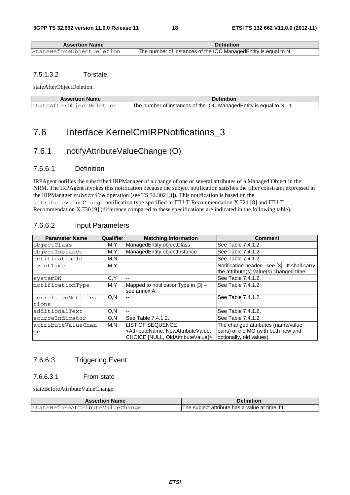| <b>Assertion Name</b>     | <b>Definition</b>                                               |
|---------------------------|-----------------------------------------------------------------|
| StateBeforeObjectDeletion | The number of instances of the IOC ManagedEntity is equal to N. |

#### 7.5.1.3.2 To-state

stateAfterObjectDeletion.

| <b>Assertion Name</b>    | <b>Definition</b>                                                    |
|--------------------------|----------------------------------------------------------------------|
| stateAfterObjectDeletion | The number of instances of the IOC Managed Entity is equal to N - 1. |

# 7.6 Interface KernelCmIRPNotifications\_3

### 7.6.1 notifyAttributeValueChange (O)

### 7.6.6.1 Definition

IRPAgent notifies the subscribed IRPManager of a change of one or several attributes of a Managed Object in the NRM. The IRPAgent invokes this notification because the subject notification satisfies the filter constraint expressed in the IRPManager subscribe operation (see TS 32.302 [3]). This notification is based on the attributeValueChange notification type specified in ITU-T Recommendation X.721 [8] and ITU-T Recommendation X.730 [9] (difference compared to these specifications are indicated in the following table).

### 7.6.6.2 Input Parameters

| <b>Parameter Name</b> | <b>Qualifier</b> | <b>Matching Information</b>                                                                    | <b>Comment</b>                                                                           |
|-----------------------|------------------|------------------------------------------------------------------------------------------------|------------------------------------------------------------------------------------------|
| objectClass           | M,Y              | ManagedEntity.objectClass                                                                      | See Table 7.4.1.2.                                                                       |
| objectInstance        | M,Y              | ManagedEntity.objectInstance                                                                   | See Table 7.4.1.2.                                                                       |
| InotificationId       | M,N              |                                                                                                | See Table 7.4.1.2.                                                                       |
| eventTime             | M,Y              |                                                                                                | Notification header - see [3]. It shall carry<br>the attribute(s) value(s) changed time. |
| systemDN              | C.Y              |                                                                                                | See Table 7.4.1.2.                                                                       |
| notificationType      | M,Y              | Mapped to notification Type in $[3]$ –<br>see annex A.                                         | See Table 7.4.1.2.                                                                       |
| correlatedNotifica    | O, N             |                                                                                                | See Table 7.4.1.2.                                                                       |
| tions                 |                  |                                                                                                |                                                                                          |
| additionalText        | O.N              | --                                                                                             | See Table 7.4.1.2.                                                                       |
| sourceIndicator       | O, N             | See Table 7.4.1.2.                                                                             | See Table 7.4.1.2.                                                                       |
| attributeValueChan    | M,N              | <b>LIST OF SEQUENCE</b>                                                                        | The changed attributes (name/value                                                       |
| qe                    |                  | <attributename, newattributevalue,<br="">CHOICE [NULL, OldAttributeValue]&gt;</attributename,> | pairs) of the MO (with both new and,<br>optionally, old values).                         |

### 7.6.6.3 Triggering Event

#### 7.6.6.3.1 From-state

stateBeforeAttributeValueChange.

| <b>Assertion Name</b>           | <b>Definition</b>                             |
|---------------------------------|-----------------------------------------------|
| stateBeforeAttributeValueChange | The subject attribute has a value at time T1. |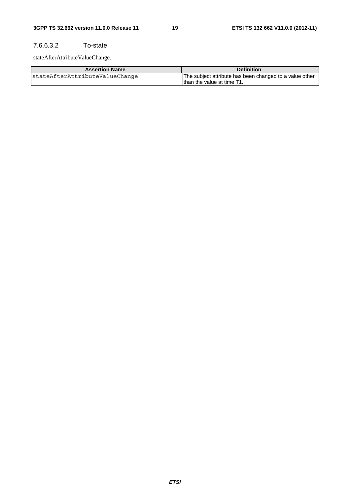### 7.6.6.3.2 To-state

stateAfterAttributeValueChange.

| <b>Assertion Name</b>          | <b>Definition</b>                                       |
|--------------------------------|---------------------------------------------------------|
| stateAfterAttributeValueChange | The subject attribute has been changed to a value other |
|                                | than the value at time T1.                              |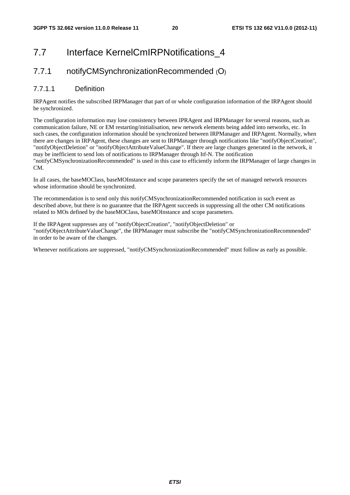# 7.7 Interface KernelCmIRPNotifications 4

### 7.7.1 notifyCMSynchronizationRecommended (O)

### 7.7.1.1 Definition

IRPAgent notifies the subscribed IRPManager that part of or whole configuration information of the IRPAgent should be synchronized.

The configuration information may lose consistency between IPRAgent and IRPManager for several reasons, such as communication failure, NE or EM restarting/initialisation, new network elements being added into networks, etc. In such cases, the configuration information should be synchronized between IRPManager and IRPAgent. Normally, when there are changes in IRPAgent, these changes are sent to IRPManager through notifications like "notifyObjectCreation", "notifyObjectDeletion" or "notifyObjectAttributeValueChange". If there are large changes generated in the network, it may be inefficient to send lots of notifications to IRPManager through Itf-N. The notification

"notifyCMSynchronizationRecommended" is used in this case to efficiently inform the IRPManager of large changes in CM.

In all cases, the baseMOClass, baseMOInstance and scope parameters specify the set of managed network resources whose information should be synchronized.

The recommendation is to send only this notifyCMSynchronizationRecommended notification in such event as described above, but there is no guarantee that the IRPAgent succeeds in suppressing all the other CM notifications related to MOs defined by the baseMOClass, baseMOInstance and scope parameters.

If the IRPAgent suppresses any of "notifyObjectCreation", "notifyObjectDeletion" or "notifyObjectAttributeValueChange", the IRPManager must subscribe the "notifyCMSynchronizationRecommended" in order to be aware of the changes.

Whenever notifications are suppressed, "notifyCMSynchronizationRecommended" must follow as early as possible.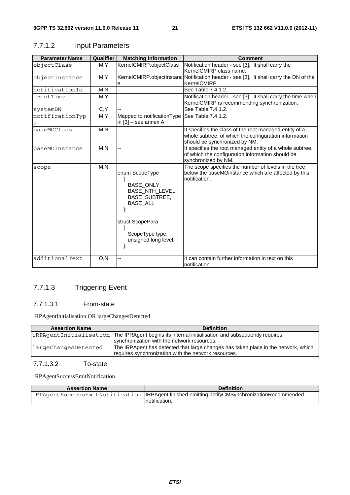| <b>Parameter Name</b> | Qualifier | <b>Matching Information</b>                                                                                                                                    | <b>Comment</b>                                                                                                                                   |
|-----------------------|-----------|----------------------------------------------------------------------------------------------------------------------------------------------------------------|--------------------------------------------------------------------------------------------------------------------------------------------------|
| objectClass           | M, Y      | KernelCMIRP.objectClass                                                                                                                                        | Notification header - see [3]. It shall carry the<br>KernelCMIRP class name.                                                                     |
| objectInstance        | M,Y       | е                                                                                                                                                              | KernelCMIRP.objectInstanc Notification header - see [3]. It shall carry the DN of the<br>KernelCMIRP                                             |
| notificationId        | M, N      |                                                                                                                                                                | See Table 7.4.1.2.                                                                                                                               |
| eventTime             | M, Y      |                                                                                                                                                                | Notification header - see [3]. It shall carry the time when<br>KernelCMIRP is recommending synchronization.                                      |
| systemDN              | C, Y      |                                                                                                                                                                | See Table 7.4.1.2.                                                                                                                               |
| notificationTyp<br>е  | M, Y      | Mapped to notificationType<br>in [3] - see annex A                                                                                                             | See Table 7.4.1.2.                                                                                                                               |
| baseMOClass           | M,N       |                                                                                                                                                                | It specifies the class of the root managed entity of a<br>whole subtree, of which the configuration information<br>should be synchronized by NM. |
| baseMOInstance        | M, N      |                                                                                                                                                                | It specifies the root managed entity of a whole subtree,<br>of which the configuration information should be<br>synchronized by NM.              |
| scope                 | M, N      | enum ScopeType<br>BASE_ONLY,<br>BASE_NTH_LEVEL,<br>BASE_SUBTREE,<br><b>BASE ALL</b><br>};<br>struct ScopePara<br>ScopeType type;<br>unsigned long level;<br>}; | The scope specifies the number of levels in the tree<br>below the baseMOinstance which are affected by this<br>notification.                     |
| additionalText        | O, N      |                                                                                                                                                                | It can contain further information in text on this<br>notification.                                                                              |

### 7.7.1.2 Input Parameters

### 7.7.1.3 Triggering Event

### 7.7.1.3.1 From-state

iRPAgentInitialisation OR largeChangesDetected

| <b>Assertion Name</b> | <b>Definition</b>                                                                                |
|-----------------------|--------------------------------------------------------------------------------------------------|
|                       | iRPAgentInitialisation The IPRAgent begins its internal initialisation and subsequently requires |
|                       | synchronization with the network resources.                                                      |
| largeChangesDetected  | The IRPAgent has detected that large changes has taken place in the network, which               |
|                       | requires synchronization with the network resources.                                             |
|                       |                                                                                                  |

### 7.7.1.3.2 To-state

iRPAgentSuccessEmitNotification

| <b>Assertion Name</b> | <b>Definition</b>                                                                               |
|-----------------------|-------------------------------------------------------------------------------------------------|
|                       | iRPAgentSuccessEmitNotification   IRPAgent finished emitting notifyCMSynchronizationRecommended |
|                       | Inotification.                                                                                  |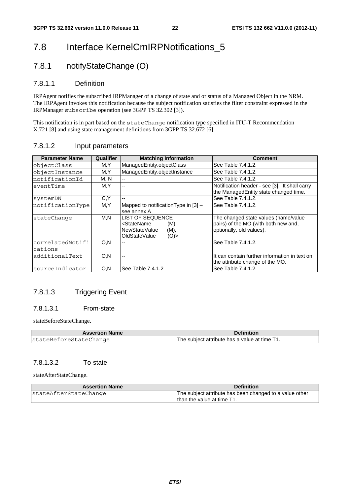# 7.8 Interface KernelCmIRPNotifications\_5

### 7.8.1 notifyStateChange (O)

### 7.8.1.1 Definition

IRPAgent notifies the subscribed IRPManager of a change of state and or status of a Managed Object in the NRM. The IRPAgent invokes this notification because the subject notification satisfies the filter constraint expressed in the IRPManager subscribe operation (see 3GPP TS 32.302 [3]).

This notification is in part based on the stateChange notification type specified in ITU-T Recommendation X.721 [8] and using state management definitions from 3GPP TS 32.672 [6].

| 7.8.1.2 | Input parameters |
|---------|------------------|
|---------|------------------|

| <b>Parameter Name</b>       | Qualifier | <b>Matching Information</b>                                                                                       | <b>Comment</b>                                                                                           |
|-----------------------------|-----------|-------------------------------------------------------------------------------------------------------------------|----------------------------------------------------------------------------------------------------------|
| objectClass                 | M, Y      | ManagedEntity.objectClass                                                                                         | See Table 7.4.1.2.                                                                                       |
| objectInstance              | M,Y       | ManagedEntity.objectInstance                                                                                      | See Table 7.4.1.2.                                                                                       |
| notificationId              | M, N      |                                                                                                                   | See Table 7.4.1.2.                                                                                       |
| eventTime                   | M.Y       |                                                                                                                   | Notification header - see [3]. It shall carry<br>the ManagedEntity state changed time.                   |
| systemDN                    | C, Y      |                                                                                                                   | See Table 7.4.1.2.                                                                                       |
| notificationType            | M, Y      | Mapped to notification Type in [3] -<br>see annex A                                                               | See Table 7.4.1.2.                                                                                       |
| stateChange                 | M,N       | <b>LIST OF SEQUENCE</b><br><statename<br>(M),<br/>NewStateValue<br/>(M),<br/>OldStateValue<br/>(O)</statename<br> | The changed state values (name/value<br>pairs) of the MO (with both new and,<br>optionally, old values). |
| correlatedNotifi<br>cations | O, N      |                                                                                                                   | See Table 7.4.1.2.                                                                                       |
| ladditionalText             | O.N       |                                                                                                                   | It can contain further information in text on<br>the attribute change of the MO.                         |
| sourceIndicator             | O, N      | See Table 7.4.1.2                                                                                                 | See Table 7.4.1.2.                                                                                       |

### 7.8.1.3 Triggering Event

#### 7.8.1.3.1 From-state

stateBeforeStateChange.

| <b>Assertion Name</b>  | <b>Definition</b>                              |
|------------------------|------------------------------------------------|
| stateBeforeStateChange | IThe subiect attribute has a value at time T1. |

#### 7.8.1.3.2 To-state

stateAfterStateChange.

| <b>Assertion Name</b> | <b>Definition</b>                                       |
|-----------------------|---------------------------------------------------------|
| stateAfterStateChange | The subject attribute has been changed to a value other |
|                       | than the value at time T1.                              |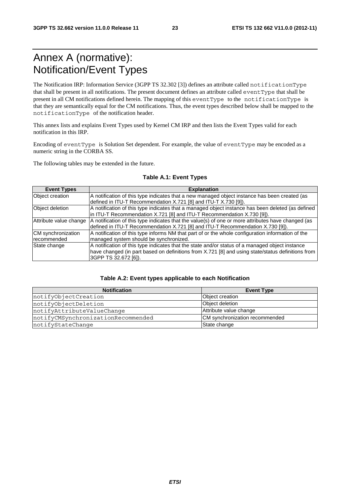# Annex A (normative): Notification/Event Types

The Notification IRP: Information Service (3GPP TS 32.302 [3]) defines an attribute called notificationType that shall be present in all notifications. The present document defines an attribute called eventType that shall be present in all CM notifications defined herein. The mapping of this eventType to the notificationType is that they are semantically equal for the CM notifications. Thus, the event types described below shall be mapped to the notificationType of the notification header.

This annex lists and explains Event Types used by Kernel CM IRP and then lists the Event Types valid for each notification in this IRP.

Encoding of eventType is Solution Set dependent. For example, the value of eventType may be encoded as a numeric string in the CORBA SS.

The following tables may be extended in the future.

| <b>Event Types</b>     | <b>Explanation</b>                                                                                 |
|------------------------|----------------------------------------------------------------------------------------------------|
| <b>Object creation</b> | A notification of this type indicates that a new managed object instance has been created (as      |
|                        | defined in ITU-T Recommendation X.721 [8] and ITU-T X.730 [9]).                                    |
| Object deletion        | A notification of this type indicates that a managed object instance has been deleted (as defined  |
|                        | in ITU-T Recommendation X.721 [8] and ITU-T Recommendation X.730 [9]).                             |
| Attribute value change | A notification of this type indicates that the value(s) of one or more attributes have changed (as |
|                        | defined in ITU-T Recommendation X.721 [8] and ITU-T Recommendation X.730 [9]).                     |
| CM synchronization     | A notification of this type informs NM that part of or the whole configuration information of the  |
| recommended            | managed system should be synchronized.                                                             |
| State change           | A notification of this type indicates that the state and/or status of a managed object instance    |
|                        | have changed (in part based on definitions from X.721 [8] and using state/status definitions from  |
|                        | 3GPP TS 32.672 [6]).                                                                               |

#### **Table A.1: Event Types**

#### **Table A.2: Event types applicable to each Notification**

| <b>Notification</b>                | <b>Event Type</b>              |
|------------------------------------|--------------------------------|
| notifyObjectCreation               | Object creation                |
| notifyObjectDeletion               | Object deletion                |
| notifyAttributeValueChange         | Attribute value change         |
| notifyCMSynchronizationRecommended | CM synchronization recommended |
| notifyStateChange                  | State change                   |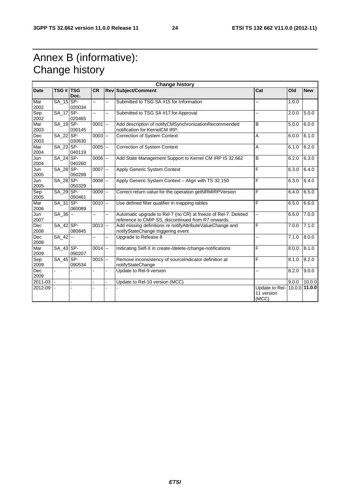# Annex B (informative): Change history

| <b>Change history</b> |                  |        |            |                |                                                                                                                       |                                       |       |                 |
|-----------------------|------------------|--------|------------|----------------|-----------------------------------------------------------------------------------------------------------------------|---------------------------------------|-------|-----------------|
| Date                  | <b>TSG # TSG</b> | Doc.   | <b>CR</b>  |                | <b>Rev Subject/Comment</b>                                                                                            | Cat                                   | Old   | <b>New</b>      |
| Mar<br>2002           | SA_15 SP-        | 020034 | 44         | Щ,             | Submitted to TSG SA #15 for Information                                                                               |                                       | 1.0.0 |                 |
| Sep<br>2002           | $SA_17$ SP-      | 020465 | 44         | --             | Submitted to TSG SA #17 for Approval                                                                                  | ц,                                    | 2.0.0 | 5.0.0           |
| Mar<br>2003           | SA 19SP-         | 030145 | $0001$ --  |                | Add description of notifyCMSynchronizationRecommended<br>notification for KernelCM IRP.                               | B                                     | 5.0.0 | 6.0.0           |
| Dec<br>2003           | SA_22 SP-        | 030630 | $0003$ --  |                | <b>Correction of System Context</b>                                                                                   | Α                                     | 6.0.0 | 6.1.0           |
| Mar<br>2004           | SA_23 SP-        | 040119 | $0005$ $-$ |                | Correction of System Context                                                                                          | A                                     | 6.1.0 | 6.2.0           |
| Jun<br>2004           | SA_24 SP-        | 040260 | $0006$ -   |                | Add State Management Support to Kernel CM IRP IS 32.662                                                               | B                                     | 6.2.0 | 6.3.0           |
| Jun<br>2005           | SA_28 SP-        | 050299 | $0007$ -   |                | Apply Generic System Context                                                                                          | F                                     | 6.3.0 | 6.4.0           |
| Jun<br>2005           | SA_28 SP-        | 050329 | $0008$ $-$ |                | Apply Generic System Context - Align with TS 32.150                                                                   | F                                     | 6.3.0 | 6.4.0           |
| Sep<br>2005           | SA 29 SP-        | 050461 | $0009$ --  |                | Correct return value for the operation getNRMIRPVersion                                                               | F                                     | 6.4.0 | 6.5.0           |
| Mar<br>2006           | SA_31 SP-        | 060089 | $0010$ --  |                | Use defined filter qualifier in mapping tables                                                                        | F                                     | 6.5.0 | 6.6.0           |
| Jun<br>2007           | SA_36 --         |        | 44         | --             | Automatic upgrade to Rel-7 (no CR) at freeze of Rel-7. Deleted<br>reference to CMIP SS, discontinued from R7 onwards. |                                       | 6.6.0 | 7.0.0           |
| Dec<br>2008           | $SA_42$ SP-      | 080845 | $0013$ -   |                | Add missing definitions re notifyAttributeValueChange and<br>notifyStateChange triggering event                       | F                                     | 7.0.0 | 7.1.0           |
| Dec<br>2008           | SA_42 --         |        | ÷.         | $\overline{a}$ | Upgrade to Release 8                                                                                                  | ż.                                    | 7.1.0 | 8.0.0           |
| Mar<br>2009           | SA_43 SP-        | 090207 | $0014$ --  |                | Indicating Self-X in create-/delete-/change-notifications                                                             | F                                     | 8.0.0 | 8.1.0           |
| Sep<br>2009           | SA_45 SP-        | 090534 | $0015$ --  |                | Remove inconsistency of sourceIndicator definition at<br>notifyStateChange                                            | F                                     | 8.1.0 | 8.2.0           |
| Dec<br>2009           | L.               |        |            | $\blacksquare$ | Update to Rel-9 version                                                                                               | ż.                                    | 8.2.0 | 9.0.0           |
| 2011-03               |                  |        |            |                | Update to Rel-10 version (MCC)                                                                                        |                                       | 9.0.0 | 10.0.0          |
| 2012-09               |                  |        |            |                |                                                                                                                       | Update to Rel-<br>11 version<br>(MCC) |       | $10.0.0$ 11.0.0 |